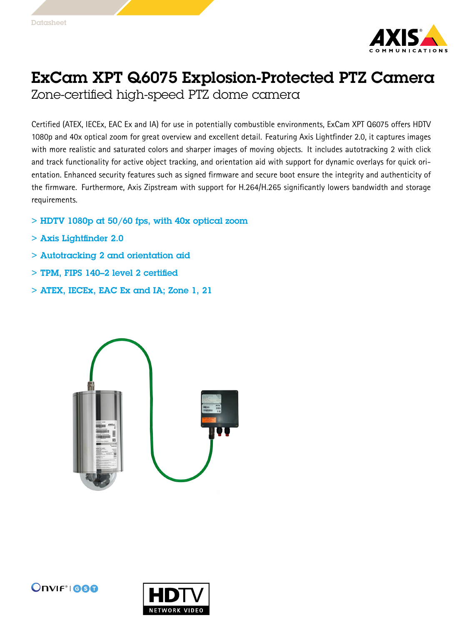

## ExCam XPT Q6075 Explosion-Protected PTZ Camera

Zone-certified high-speed PTZ dome camera

Certified (ATEX, IECEx, EAC Ex and IA) for use in potentially combustible environments, ExCam XPT Q6075 offers HDTV 1080p and 40x optical zoom for great overview and excellent detail. Featuring Axis Lightfinder 2.0, it captures images with more realistic and saturated colors and sharper images of moving objects. It includes autotracking 2 with click and track functionality for active object tracking, and orientation aid with support for dynamic overlays for quick orientation. Enhanced security features such as signed firmware and secure boot ensure the integrity and authenticity of the firmware. Furthermore, Axis Zipstream with support for H.264/H.265 significantly lowers bandwidth and storage requirements.

- $>$  HDTV 1080p at 50/60 fps, with 40x optical zoom
- > Axis Lightfinder 2.0
- > Autotracking 2 and orientation aid
- > TPM, FIPS 140–2 level 2 certified
- > ATEX, IECEx, EAC Ex and IA; Zone 1, 21





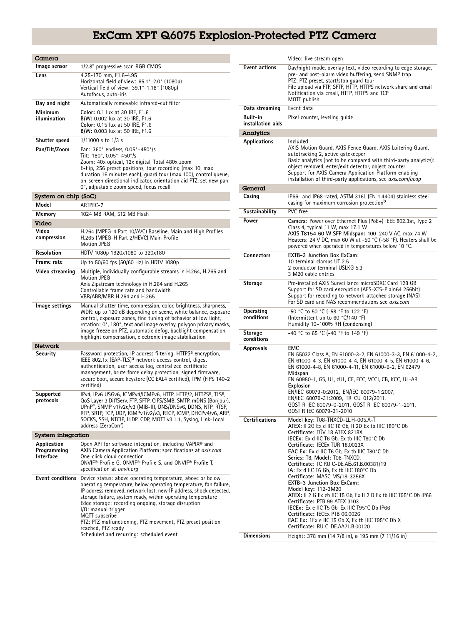## ExCam XPT Q6075 Explosion-Protected PTZ Camera

| Camera                                  |                                                                                                                                                                                                                                                                                                                                                                                                                                                                                                    |
|-----------------------------------------|----------------------------------------------------------------------------------------------------------------------------------------------------------------------------------------------------------------------------------------------------------------------------------------------------------------------------------------------------------------------------------------------------------------------------------------------------------------------------------------------------|
| Image sensor                            | 1/2.8" progressive scan RGB CMOS                                                                                                                                                                                                                                                                                                                                                                                                                                                                   |
| Lens                                    | 4.25-170 mm, F1.6-4.95<br>Horizontal field of view: 65.1°-2.0° (1080p)<br>Vertical field of view: 39.1°-1.18° (1080p)<br>Autofocus, auto-iris                                                                                                                                                                                                                                                                                                                                                      |
| Day and night                           | Automatically removable infrared-cut filter                                                                                                                                                                                                                                                                                                                                                                                                                                                        |
| Minimum<br>illumination                 | Color: 0.1 lux at 30 IRE, F1.6<br>B/W: 0.002 lux at 30 IRE, F1.6<br>Color: 0.15 lux at 50 IRE, F1.6<br>B/W: 0.003 lux at 50 IRE, F1.6                                                                                                                                                                                                                                                                                                                                                              |
| Shutter speed                           | 1/11000 s to 1/3 s                                                                                                                                                                                                                                                                                                                                                                                                                                                                                 |
| Pan/Tilt/Zoom                           | Pan: 360° endless, 0.05°-450°/s<br>Tilt: 180°, 0.05°-450°/s<br>Zoom: 40x optical, 12x digital, Total 480x zoom<br>E-flip, 256 preset positions, tour recording (max 10, max<br>duration 16 minutes each), guard tour (max 100), control queue,<br>on-screen directional indicator, orientation aid PTZ, set new pan<br>0°, adjustable zoom speed, focus recall                                                                                                                                     |
| System on chip (SoC)                    |                                                                                                                                                                                                                                                                                                                                                                                                                                                                                                    |
| Model                                   | ARTPEC-7                                                                                                                                                                                                                                                                                                                                                                                                                                                                                           |
| Memory                                  | 1024 MB RAM, 512 MB Flash                                                                                                                                                                                                                                                                                                                                                                                                                                                                          |
| Video<br>Video                          |                                                                                                                                                                                                                                                                                                                                                                                                                                                                                                    |
| compression                             | H.264 (MPEG-4 Part 10/AVC) Baseline, Main and High Profiles<br>H.265 (MPEG-H Part 2/HEVC) Main Profile<br>Motion JPEG                                                                                                                                                                                                                                                                                                                                                                              |
| Resolution                              | HDTV 1080p 1920x1080 to 320x180                                                                                                                                                                                                                                                                                                                                                                                                                                                                    |
| Frame rate                              | Up to 50/60 fps (50/60 Hz) in HDTV 1080p                                                                                                                                                                                                                                                                                                                                                                                                                                                           |
| Video streaming                         | Multiple, individually configurable streams in H.264, H.265 and<br><b>Motion JPEG</b><br>Axis Zipstream technology in H.264 and H.265<br>Controllable frame rate and bandwidth<br>VBR/ABR/MBR H.264 and H.265                                                                                                                                                                                                                                                                                      |
| lmage settings                          | Manual shutter time, compression, color, brightness, sharpness,<br>WDR: up to 120 dB depending on scene, white balance, exposure<br>control, exposure zones, fine tuning of behavior at low light,<br>rotation: 0°, 180°, text and image overlay, polygon privacy masks,<br>image freeze on PTZ, automatic defog, backlight compensation,<br>highlight compensation, electronic image stabilization                                                                                                |
| Network                                 |                                                                                                                                                                                                                                                                                                                                                                                                                                                                                                    |
| Security                                | Password protection, IP address filtering, HTTPS <sup>a</sup> encryption,<br>IEEE 802.1x (EAP-TLS) <sup>a</sup> network access control, digest<br>authentication, user access log, centralized certificate<br>management, brute force delay protection, signed firmware,<br>secure boot, secure keystore (CC EAL4 certified), TPM (FIPS 140-2<br>certified)                                                                                                                                        |
| Supported<br>protocols                  | IPv4, IPv6 USGv6, ICMPv4/ICMPv6, HTTP, HTTP/2, HTTPS <sup>a</sup> , TLS <sup>a</sup> ,<br>QoS Layer 3 DiffServ, FTP, SFTP, CIFS/SMB, SMTP, mDNS (Bonjour),<br>UPnP®, SNMP v1/v2c/v3 (MIB-II), DNS/DNSv6, DDNS, NTP, RTSP,<br>RTP. SRTP. TCP. UDP. IGMPv1/v2/v3. RTCP. ICMP. DHCPv4/v6. ARP.<br>SOCKS, SSH, NTCIP, LLDP, CDP, MQTT v3.1.1, Syslog, Link-Local<br>address (ZeroConf)                                                                                                                 |
| <b>System integration</b>               |                                                                                                                                                                                                                                                                                                                                                                                                                                                                                                    |
| Application<br>Programming<br>Interface | Open API for software integration, including VAPIX <sup>®</sup> and<br>AXIS Camera Application Platform; specifications at axis.com<br>One-click cloud connection<br>ONVIF <sup>®</sup> Profile G, ONVIF® Profile S, and ONVIF® Profile T,<br>specification at onvif.org                                                                                                                                                                                                                           |
| <b>Event conditions</b>                 | Device status: above operating temperature, above or below<br>operating temperature, below operating temperature, fan failure,<br>IP address removed, network lost, new IP address, shock detected,<br>storage failure, system ready, within operating temperature<br>Edge storage: recording ongoing, storage disruption<br>I/O: manual trigger<br>MQTT subscribe<br>PTZ: PTZ malfunctioning, PTZ movement, PTZ preset position<br>reached, PTZ ready<br>Scheduled and recurring: scheduled event |

|                               | Video: live stream open                                                                                                                                                                                                                                                                                                                                                                                                                                                                                                                                                                                                                                                                                                                                                             |
|-------------------------------|-------------------------------------------------------------------------------------------------------------------------------------------------------------------------------------------------------------------------------------------------------------------------------------------------------------------------------------------------------------------------------------------------------------------------------------------------------------------------------------------------------------------------------------------------------------------------------------------------------------------------------------------------------------------------------------------------------------------------------------------------------------------------------------|
| <b>Event actions</b>          | Day/night mode, overlay text, video recording to edge storage,<br>pre- and post-alarm video buffering, send SNMP trap<br>PTZ: PTZ preset, start/stop quard tour<br>File upload via FTP, SFTP, HTTP, HTTPS network share and email<br>Notification via email, HTTP, HTTPS and TCP<br>MQTT publish                                                                                                                                                                                                                                                                                                                                                                                                                                                                                    |
| Data streaming                | Event data                                                                                                                                                                                                                                                                                                                                                                                                                                                                                                                                                                                                                                                                                                                                                                          |
| Built-in<br>installation aids | Pixel counter, leveling guide                                                                                                                                                                                                                                                                                                                                                                                                                                                                                                                                                                                                                                                                                                                                                       |
| <b>Analytics</b>              |                                                                                                                                                                                                                                                                                                                                                                                                                                                                                                                                                                                                                                                                                                                                                                                     |
| Applications                  | Included<br>AXIS Motion Guard, AXIS Fence Guard, AXIS Loitering Guard,<br>autotracking 2, active gatekeeper<br>Basic analytics (not to be compared with third-party analytics):<br>object removed, enter/exit detector, object counter<br>Support for AXIS Camera Application Platform enabling<br>installation of third-party applications, see <i>axis.com/acap</i>                                                                                                                                                                                                                                                                                                                                                                                                               |
| General                       |                                                                                                                                                                                                                                                                                                                                                                                                                                                                                                                                                                                                                                                                                                                                                                                     |
| Casing                        | IP66- and IP68-rated, ASTM 316L (EN 1.4404) stainless steel<br>casing for maximum corrosion protection <sup>b</sup>                                                                                                                                                                                                                                                                                                                                                                                                                                                                                                                                                                                                                                                                 |
| Sustainability                | PVC free                                                                                                                                                                                                                                                                                                                                                                                                                                                                                                                                                                                                                                                                                                                                                                            |
| Power                         | Camera: Power over Ethernet Plus (PoE+) IEEE 802.3at, Type 2<br>Class 4, typical 11 W, max 17.1 W<br>AXIS T8154 60 W SFP Midspan: 100-240 V AC, max 74 W<br>Heaters: 24 V DC, max 60 W at -50 $^{\circ}$ C (-58 $^{\circ}$ F). Heaters shall be<br>powered when operated in temperatures below 10 °C.                                                                                                                                                                                                                                                                                                                                                                                                                                                                               |
| Connectors                    | EXTB-3 Junction Box ExCam:<br>10 terminal clamps UT 2.5<br>2 conductor terminal USLKG 5.3<br>3 M20 cable entries                                                                                                                                                                                                                                                                                                                                                                                                                                                                                                                                                                                                                                                                    |
| Storage                       | Pre-installed AXIS Surveillance microSDXC Card 128 GB<br>Support for SD card encryption (AES-XTS-Plain64 256bit)<br>Support for recording to network-attached storage (NAS)<br>For SD card and NAS recommendations see axis.com                                                                                                                                                                                                                                                                                                                                                                                                                                                                                                                                                     |
| Operating<br>conditions       | -50 °C to 50 °C (-58 °F to 122 °F)<br>(Intermittent up to 60 °C/140 °F)<br>Humidity 10-100% RH (condensing)                                                                                                                                                                                                                                                                                                                                                                                                                                                                                                                                                                                                                                                                         |
| <b>Storage</b><br>conditions  | -40 °C to 65 °C (-40 °F to 149 °F)                                                                                                                                                                                                                                                                                                                                                                                                                                                                                                                                                                                                                                                                                                                                                  |
| Approvals                     | <b>EMC</b><br>EN 55032 Class A, EN 61000-3-2, EN 61000-3-3, EN 61000-4-2,<br>EN 61000-4-3, EN 61000-4-4, EN 61000-4-5, EN 61000-4-6,<br>EN 61000-4-8, EN 61000-4-11, EN 61000-6-2, EN 62479<br>Midspan<br>EN 60950-1, GS, UL, cUL, CE, FCC, VCCI, CB, KCC, UL-AR<br>Explosion<br>EN/IEC 60079-0:2012, EN/IEC 60079-1:2007,<br>EN/IEC 60079-31:2009, TR CU 012/2011,<br>GOST R IEC 60079-0-2011, GOST R IEC 60079-1-2011,<br>GOST R IEC 60079-31-2010                                                                                                                                                                                                                                                                                                                                |
| <b>Certifications</b>         | Model key: T08-TNXCD-LL.H-005.A-T<br>ATEX: II 2G Ex d IIC T6 Gb, II 2D Ex tb IIIC T80°C Db<br>Certificate: TUV 18 ATEX 8218X<br>IECEx: Ex d IIC T6 Gb, Ex tb IIIC T80°C Db<br>Certificate: IECEx TUR 18.0023X<br>EAC Ex: Ex d IIC T6 Gb, Ex tb IIIC T80°C Db<br>Series: T8, Model: T08-TNXCD.<br>Certificate: TC RU C-DE.AB.61.B.00381/19<br>IA: Ex d IIC T6 Gb, Ex tb IIIC T80°C Db<br>Certificate: MASC MS/18-3256X<br><b>EXTB-3 Junction Box ExCam:</b><br>Model key: T12-3M20<br>ATEX: II 2 G Ex eb IIC T5 Gb, Ex II 2 D Ex tb IIIC T95°C Db IP66<br>Certificate: PTB 99 ATEX 3103<br>IECEx: Ex e IIC T5 Gb, Ex IIIC T95°C Db IP66<br>Certificate: IECEx PTB 06.0026<br><b>EAC Ex:</b> 1Ex e IIC T5 Gb X, Ex tb IIIC T95 $^{\circ}$ C Db X<br>Certificate: RU C-DE.AA71.B.00120 |
| <b>Dimensions</b>             | Height: 378 mm (14 7/8 in), ø 195 mm (7 11/16 in)                                                                                                                                                                                                                                                                                                                                                                                                                                                                                                                                                                                                                                                                                                                                   |